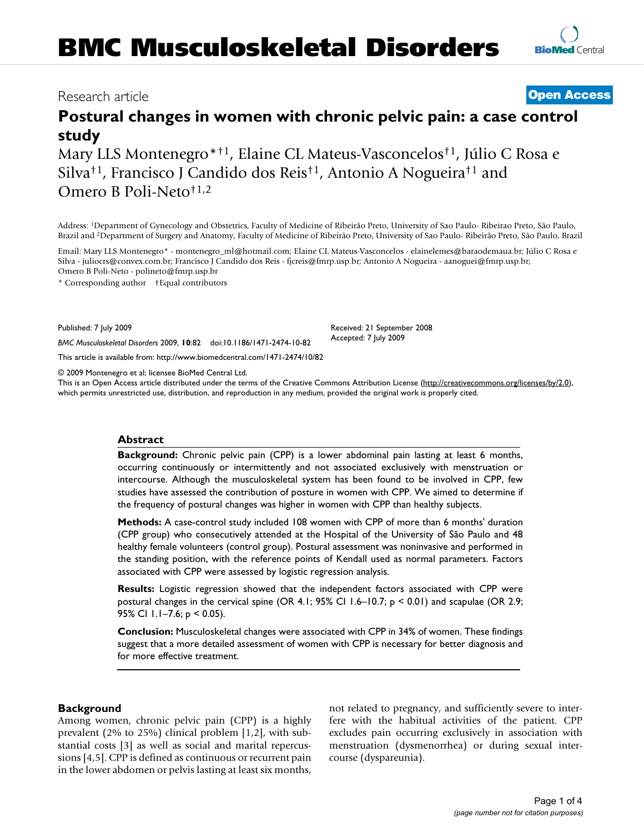# **Postural changes in women with chronic pelvic pain: a case control study**

Mary LLS Montenegro\*†1, Elaine CL Mateus-Vasconcelos†1, Júlio C Rosa e Silva†1, Francisco J Candido dos Reis†1, Antonio A Nogueira†1 and Omero B Poli-Neto†1,2

Address: 1Department of Gynecology and Obstetrics, Faculty of Medicine of Ribeirão Preto, University of Sao Paulo- Ribeirao Preto, São Paulo, Brazil and 2Department of Surgery and Anatomy, Faculty of Medicine of Ribeirão Preto, University of Sao Paulo- Ribeirão Preto, São Paulo, Brazil

Email: Mary LLS Montenegro\* - montenegro\_ml@hotmail.com; Elaine CL Mateus-Vasconcelos - elainelemes@baraodemaua.br; Júlio C Rosa e Silva - juliocrs@convex.com.br; Francisco J Candido dos Reis - fjcreis@fmrp.usp.br; Antonio A Nogueira - aanoguei@fmrp.usp.br; Omero B Poli-Neto - polineto@fmrp.usp.br

\* Corresponding author †Equal contributors

Published: 7 July 2009

*BMC Musculoskeletal Disorders* 2009, **10**:82 doi:10.1186/1471-2474-10-82

[This article is available from: http://www.biomedcentral.com/1471-2474/10/82](http://www.biomedcentral.com/1471-2474/10/82)

© 2009 Montenegro et al; licensee BioMed Central Ltd.

This is an Open Access article distributed under the terms of the Creative Commons Attribution License [\(http://creativecommons.org/licenses/by/2.0\)](http://creativecommons.org/licenses/by/2.0), which permits unrestricted use, distribution, and reproduction in any medium, provided the original work is properly cited.

#### **Abstract**

**Background:** Chronic pelvic pain (CPP) is a lower abdominal pain lasting at least 6 months, occurring continuously or intermittently and not associated exclusively with menstruation or intercourse. Although the musculoskeletal system has been found to be involved in CPP, few studies have assessed the contribution of posture in women with CPP. We aimed to determine if the frequency of postural changes was higher in women with CPP than healthy subjects.

**Methods:** A case-control study included 108 women with CPP of more than 6 months' duration (CPP group) who consecutively attended at the Hospital of the University of São Paulo and 48 healthy female volunteers (control group). Postural assessment was noninvasive and performed in the standing position, with the reference points of Kendall used as normal parameters. Factors associated with CPP were assessed by logistic regression analysis.

**Results:** Logistic regression showed that the independent factors associated with CPP were postural changes in the cervical spine (OR 4.1; 95% CI 1.6–10.7; p < 0.01) and scapulae (OR 2.9; 95% CI 1.1–7.6; p < 0.05).

**Conclusion:** Musculoskeletal changes were associated with CPP in 34% of women. These findings suggest that a more detailed assessment of women with CPP is necessary for better diagnosis and for more effective treatment.

#### **Background**

Among women, chronic pelvic pain (CPP) is a highly prevalent (2% to 25%) clinical problem [1,2], with substantial costs [3] as well as social and marital repercussions [4,5]. CPP is defined as continuous or recurrent pain in the lower abdomen or pelvis lasting at least six months, not related to pregnancy, and sufficiently severe to interfere with the habitual activities of the patient. CPP excludes pain occurring exclusively in association with menstruation (dysmenorrhea) or during sexual intercourse (dyspareunia).

Received: 21 September 2008 Accepted: 7 July 2009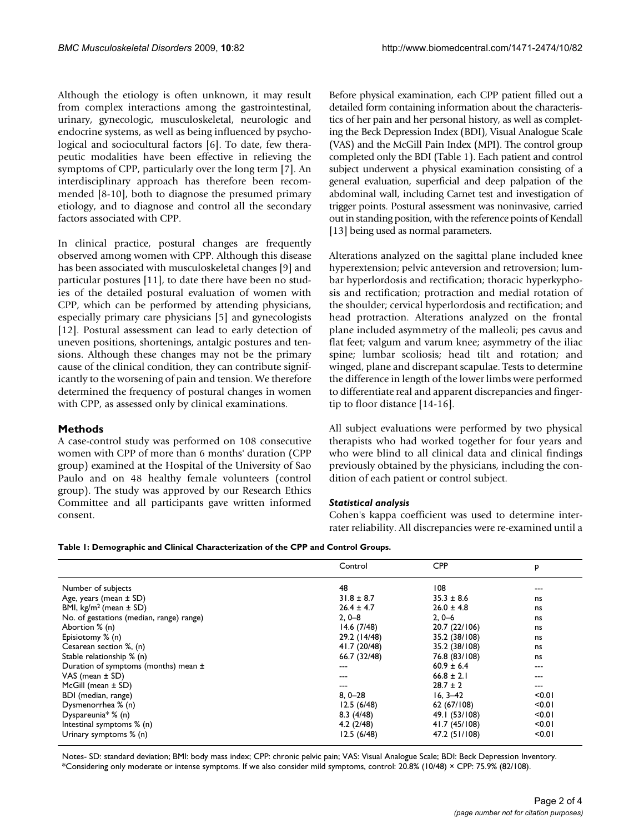Although the etiology is often unknown, it may result from complex interactions among the gastrointestinal, urinary, gynecologic, musculoskeletal, neurologic and endocrine systems, as well as being influenced by psychological and sociocultural factors [6]. To date, few therapeutic modalities have been effective in relieving the symptoms of CPP, particularly over the long term [7]. An interdisciplinary approach has therefore been recommended [8-10], both to diagnose the presumed primary etiology, and to diagnose and control all the secondary factors associated with CPP.

In clinical practice, postural changes are frequently observed among women with CPP. Although this disease has been associated with musculoskeletal changes [9] and particular postures [11], to date there have been no studies of the detailed postural evaluation of women with CPP, which can be performed by attending physicians, especially primary care physicians [5] and gynecologists [12]. Postural assessment can lead to early detection of uneven positions, shortenings, antalgic postures and tensions. Although these changes may not be the primary cause of the clinical condition, they can contribute significantly to the worsening of pain and tension. We therefore determined the frequency of postural changes in women with CPP, as assessed only by clinical examinations.

# **Methods**

A case-control study was performed on 108 consecutive women with CPP of more than 6 months' duration (CPP group) examined at the Hospital of the University of Sao Paulo and on 48 healthy female volunteers (control group). The study was approved by our Research Ethics Committee and all participants gave written informed consent.

Before physical examination, each CPP patient filled out a detailed form containing information about the characteristics of her pain and her personal history, as well as completing the Beck Depression Index (BDI), Visual Analogue Scale (VAS) and the McGill Pain Index (MPI). The control group completed only the BDI (Table 1). Each patient and control subject underwent a physical examination consisting of a general evaluation, superficial and deep palpation of the abdominal wall, including Carnet test and investigation of trigger points. Postural assessment was noninvasive, carried out in standing position, with the reference points of Kendall [13] being used as normal parameters.

Alterations analyzed on the sagittal plane included knee hyperextension; pelvic anteversion and retroversion; lumbar hyperlordosis and rectification; thoracic hyperkyphosis and rectification; protraction and medial rotation of the shoulder; cervical hyperlordosis and rectification; and head protraction. Alterations analyzed on the frontal plane included asymmetry of the malleoli; pes cavus and flat feet; valgum and varum knee; asymmetry of the iliac spine; lumbar scoliosis; head tilt and rotation; and winged, plane and discrepant scapulae. Tests to determine the difference in length of the lower limbs were performed to differentiate real and apparent discrepancies and fingertip to floor distance [14-16].

All subject evaluations were performed by two physical therapists who had worked together for four years and who were blind to all clinical data and clinical findings previously obtained by the physicians, including the condition of each patient or control subject.

#### *Statistical analysis*

Cohen's kappa coefficient was used to determine interrater reliability. All discrepancies were re-examined until a

| Table 1: Demographic and Clinical Characterization of the CPP and Control Groups. |  |  |
|-----------------------------------------------------------------------------------|--|--|
|-----------------------------------------------------------------------------------|--|--|

|                                          | Control        | <b>CPP</b>     | P      |
|------------------------------------------|----------------|----------------|--------|
| Number of subjects                       | 48             | 108            | ---    |
| Age, years (mean $\pm$ SD)               | $31.8 \pm 8.7$ | $35.3 \pm 8.6$ | ns     |
| BMI, $kg/m^2$ (mean $\pm$ SD)            | $26.4 \pm 4.7$ | $26.0 \pm 4.8$ | ns     |
| No. of gestations (median, range) range) | $2, 0 - 8$     | $2, 0 - 6$     | ns     |
| Abortion % (n)                           | 14.6(7/48)     | 20.7 (22/106)  | ns     |
| Episiotomy % (n)                         | 29.2 (14/48)   | 35.2 (38/108)  | ns     |
| Cesarean section %, (n)                  | 41.7 (20/48)   | 35.2 (38/108)  | ns     |
| Stable relationship % (n)                | 66.7 (32/48)   | 76.8 (83/108)  | ns     |
| Duration of symptoms (months) mean ±     | ---            | $60.9 \pm 6.4$ | ---    |
| VAS (mean $\pm$ SD)                      | ---            | $66.8 \pm 2.1$ | ---    |
| McGill (mean $\pm$ SD)                   | ---            | $28.7 \pm 2$   | ---    |
| BDI (median, range)                      | $8,0-28$       | $16, 3 - 42$   | < 0.01 |
| Dysmenorrhea % (n)                       | 12.5(6/48)     | 62 (67/108)    | < 0.01 |
| Dyspareunia* $% (n)$                     | 8.3(4/48)      | 49.1 (53/108)  | < 0.01 |
| Intestinal symptoms % (n)                | 4.2(2/48)      | 41.7 (45/108)  | < 0.01 |
| Urinary symptoms % (n)                   | 12.5(6/48)     | 47.2 (51/108)  | < 0.01 |

Notes- SD: standard deviation; BMI: body mass index; CPP: chronic pelvic pain; VAS: Visual Analogue Scale; BDI: Beck Depression Inventory. \*Considering only moderate or intense symptoms. If we also consider mild symptoms, control: 20.8% (10/48) × CPP: 75.9% (82/108).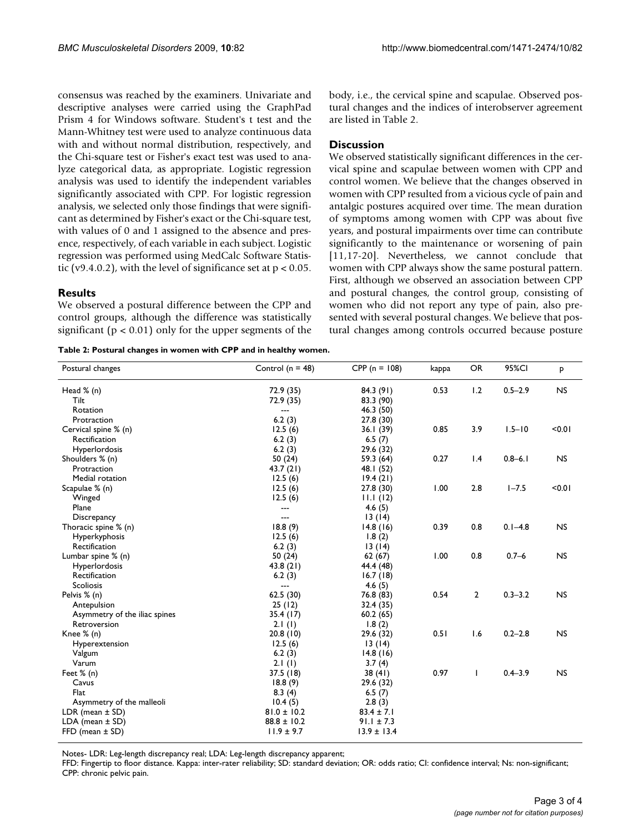consensus was reached by the examiners. Univariate and descriptive analyses were carried using the GraphPad Prism 4 for Windows software. Student's t test and the Mann-Whitney test were used to analyze continuous data with and without normal distribution, respectively, and the Chi-square test or Fisher's exact test was used to analyze categorical data, as appropriate. Logistic regression analysis was used to identify the independent variables significantly associated with CPP. For logistic regression analysis, we selected only those findings that were significant as determined by Fisher's exact or the Chi-square test, with values of 0 and 1 assigned to the absence and presence, respectively, of each variable in each subject. Logistic regression was performed using MedCalc Software Statistic (v9.4.0.2), with the level of significance set at  $p < 0.05$ .

#### **Results**

We observed a postural difference between the CPP and control groups, although the difference was statistically significant ( $p < 0.01$ ) only for the upper segments of the

**Table 2: Postural changes in women with CPP and in healthy women.**

body, i.e., the cervical spine and scapulae. Observed postural changes and the indices of interobserver agreement are listed in Table 2.

#### **Discussion**

We observed statistically significant differences in the cervical spine and scapulae between women with CPP and control women. We believe that the changes observed in women with CPP resulted from a vicious cycle of pain and antalgic postures acquired over time. The mean duration of symptoms among women with CPP was about five years, and postural impairments over time can contribute significantly to the maintenance or worsening of pain [11,17-20]. Nevertheless, we cannot conclude that women with CPP always show the same postural pattern. First, although we observed an association between CPP and postural changes, the control group, consisting of women who did not report any type of pain, also presented with several postural changes. We believe that postural changes among controls occurred because posture

| Postural changes              | Control ( $n = 48$ ) | $CPP (n = 108)$ | kappa | <b>OR</b>      | 95%CI       | P         |
|-------------------------------|----------------------|-----------------|-------|----------------|-------------|-----------|
| Head % (n)                    | 72.9 (35)            | 84.3 (91)       | 0.53  | 1.2            | $0.5 - 2.9$ | <b>NS</b> |
| Tilt                          | 72.9 (35)            | 83.3 (90)       |       |                |             |           |
| Rotation                      | $---$                | 46.3 (50)       |       |                |             |           |
| Protraction                   | 6.2(3)               | 27.8(30)        |       |                |             |           |
| Cervical spine % (n)          | 12.5(6)              | 36.1(39)        | 0.85  | 3.9            | $1.5 - 10$  | < 0.01    |
| Rectification                 | 6.2(3)               | 6.5(7)          |       |                |             |           |
| Hyperlordosis                 | 6.2(3)               | 29.6 (32)       |       |                |             |           |
| Shoulders % (n)               | 50 (24)              | 59.3 (64)       | 0.27  | 1.4            | $0.8 - 6.1$ | <b>NS</b> |
| Protraction                   | 43.7 (21)            | 48.I (52)       |       |                |             |           |
| Medial rotation               | 12.5(6)              | 19.4(21)        |       |                |             |           |
| Scapulae % (n)                | 12.5(6)              | 27.8 (30)       | 1.00  | 2.8            | $1 - 7.5$   | < 0.01    |
| Winged                        | 12.5(6)              | 11.1(12)        |       |                |             |           |
| Plane                         | ---                  | 4.6(5)          |       |                |             |           |
| Discrepancy                   | ---                  | 13(14)          |       |                |             |           |
| Thoracic spine % (n)          | 18.8(9)              | 14.8(16)        | 0.39  | 0.8            | $0.1 - 4.8$ | <b>NS</b> |
| Hyperkyphosis                 | 12.5(6)              | 1.8(2)          |       |                |             |           |
| Rectification                 | 6.2(3)               | 13(14)          |       |                |             |           |
| Lumbar spine % (n)            | 50 (24)              | 62(67)          | 1.00  | 0.8            | $0.7 - 6$   | <b>NS</b> |
| Hyperlordosis                 | 43.8(21)             | 44.4 (48)       |       |                |             |           |
| Rectification                 | 6.2(3)               | 16.7(18)        |       |                |             |           |
| <b>Scoliosis</b>              | $---$                | 4.6(5)          |       |                |             |           |
| Pelvis % (n)                  | 62.5(30)             | 76.8 (83)       | 0.54  | $\overline{2}$ | $0.3 - 3.2$ | <b>NS</b> |
| Antepulsion                   | 25(12)               | 32.4 (35)       |       |                |             |           |
| Asymmetry of the iliac spines | 35.4(17)             | 60.2(65)        |       |                |             |           |
| Retroversion                  | 2.1(1)               | 1.8(2)          |       |                |             |           |
| Knee % (n)                    | 20.8(10)             | 29.6 (32)       | 0.51  | 1.6            | $0.2 - 2.8$ | <b>NS</b> |
| Hyperextension                | 12.5(6)              | 13(14)          |       |                |             |           |
| Valgum                        | 6.2(3)               | 14.8(16)        |       |                |             |           |
| Varum                         | 2.1(1)               | 3.7(4)          |       |                |             |           |
| Feet $% (n)$                  | 37.5(18)             | 38(41)          | 0.97  | I              | $0.4 - 3.9$ | <b>NS</b> |
| Cavus                         | 18.8(9)              | 29.6 (32)       |       |                |             |           |
| <b>Flat</b>                   | 8.3(4)               | 6.5(7)          |       |                |             |           |
| Asymmetry of the malleoli     | 10.4(5)              | 2.8(3)          |       |                |             |           |
| LDR (mean $\pm$ SD)           | $81.0 \pm 10.2$      | $83.4 \pm 7.1$  |       |                |             |           |
| $LDA$ (mean $\pm$ SD)         | $88.8 \pm 10.2$      | $91.1 \pm 7.3$  |       |                |             |           |
| $FFD$ (mean $\pm$ SD)         | $11.9 \pm 9.7$       | $13.9 \pm 13.4$ |       |                |             |           |

Notes- LDR: Leg-length discrepancy real; LDA: Leg-length discrepancy apparent;

FFD: Fingertip to floor distance. Kappa: inter-rater reliability; SD: standard deviation; OR: odds ratio; CI: confidence interval; Ns: non-significant; CPP: chronic pelvic pain.